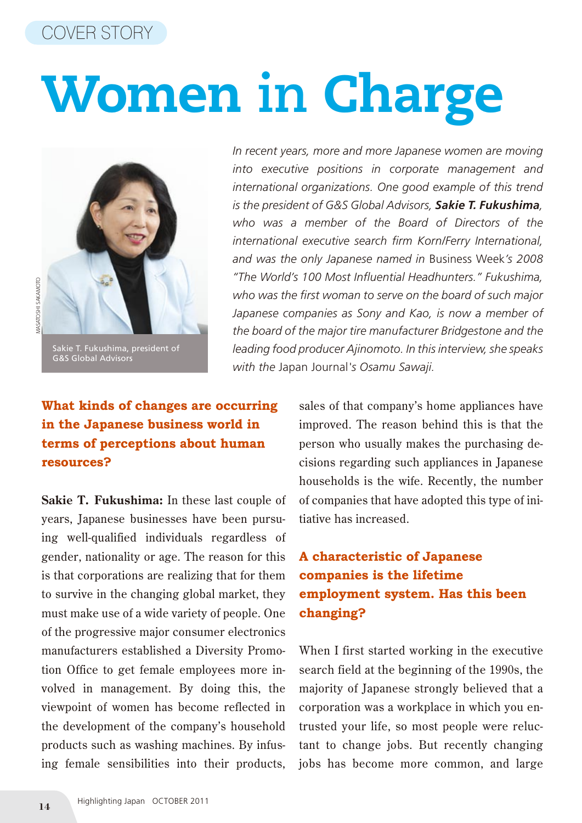## COVER STORY

# Women **in** Charge



Sakie T. Fukushima, president of G&S Global Advisors

*In recent years, more and more Japanese women are moving into executive positions in corporate management and international organizations. One good example of this trend is the president of G&S Global Advisors, Sakie T. Fukushima, who was a member of the Board of Directors of the international executive search firm Korn/Ferry International, and was the only Japanese named in* Business Week*'s 2008 "The World's 100 Most Influential Headhunters." Fukushima, who was the first woman to serve on the board of such major Japanese companies as Sony and Kao, is now a member of the board of the major tire manufacturer Bridgestone and the leading food producer Ajinomoto. In this interview, she speaks with the* Japan Journal*'s Osamu Sawaji.*

### **What kinds of changes are occurring in the Japanese business world in terms of perceptions about human resources?**

**Sakie T. Fukushima:** In these last couple of years, Japanese businesses have been pursuing well-qualified individuals regardless of gender, nationality or age. The reason for this is that corporations are realizing that for them to survive in the changing global market, they must make use of a wide variety of people. One of the progressive major consumer electronics manufacturers established a Diversity Promotion Office to get female employees more involved in management. By doing this, the viewpoint of women has become reflected in the development of the company's household products such as washing machines. By infusing female sensibilities into their products, Sakie T. Fukushima, president of<br>
G&S Global Advisors<br> **11 the Japanese business verms of perceptions about**<br> **14** Highlighting: In these years, Japanese businesses have ing well-qualified individuals<br>
gender, nationality

sales of that company's home appliances have improved. The reason behind this is that the person who usually makes the purchasing decisions regarding such appliances in Japanese households is the wife. Recently, the number of companies that have adopted this type of initiative has increased.

### **A characteristic of Japanese companies is the lifetime employment system. Has this been changing?**

When I first started working in the executive search field at the beginning of the 1990s, the majority of Japanese strongly believed that a corporation was a workplace in which you entrusted your life, so most people were reluctant to change jobs. But recently changing jobs has become more common, and large